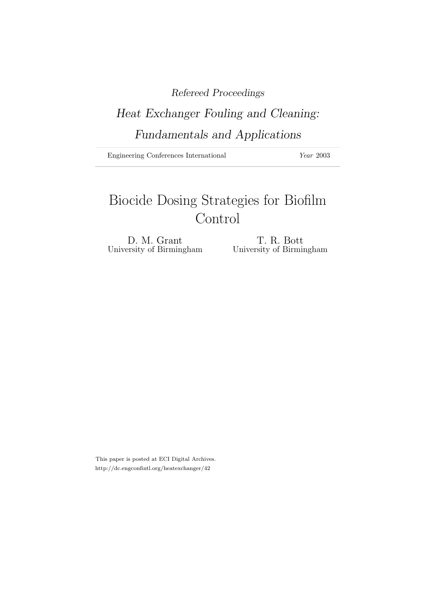# Refereed Proceedings

# Heat Exchanger Fouling and Cleaning: Fundamentals and Applications

Engineering Conferences International Year 2003

# Biocide Dosing Strategies for Biofilm Control

University of Birmingham

D. M. Grant<br>
ersity of Birmingham<br>
University of Birmingham

This paper is posted at ECI Digital Archives. http://dc.engconfintl.org/heatexchanger/42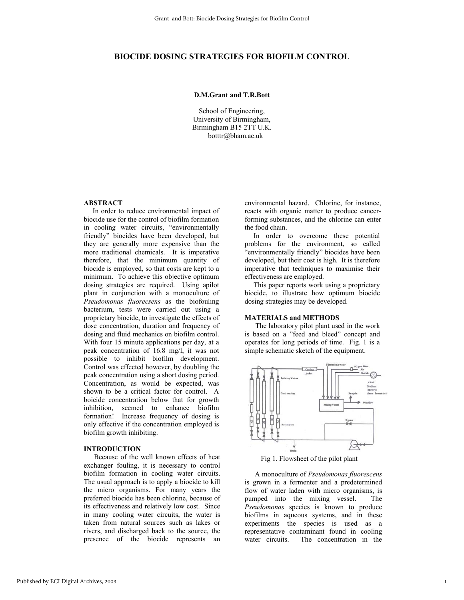# **BIOCIDE DOSING STRATEGIES FOR BIOFILM CONTROL**

# **D.M.Grant and T.R.Bott**

School of Engineering, University of Birmingham, Birmingham B15 2TT U.K. botttr@bham.ac.uk

# **ABSTRACT**

 In order to reduce environmental impact of biocide use for the control of biofilm formation in cooling water circuits, "environmentally friendly" biocides have been developed, but they are generally more expensive than the more traditional chemicals. It is imperative therefore, that the minimum quantity of biocide is employed, so that costs are kept to a minimum. To achieve this objective optimum dosing strategies are required. Using apilot plant in conjunction with a monoculture of *Pseudomonas fluorecsens* as the biofouling bacterium, tests were carried out using a proprietary biocide, to investigate the effects of dose concentration, duration and frequency of dosing and fluid mechanics on biofilm control. With four 15 minute applications per day, at a peak concentration of 16.8 mg/l, it was not possible to inhibit biofilm development. Control was effected however, by doubling the peak concentration using a short dosing period. Concentration, as would be expected, was shown to be a critical factor for control. A boicide concentration below that for growth inhibition, seemed to enhance biofilm formation! Increase frequency of dosing is only effective if the concentration employed is biofilm growth inhibiting.

### **INTRODUCTION**

 Because of the well known effects of heat exchanger fouling, it is necessary to control biofilm formation in cooling water circuits. The usual approach is to apply a biocide to kill the micro organisms. For many years the preferred biocide has been chlorine, because of its effectiveness and relatively low cost. Since in many cooling water circuits, the water is taken from natural sources such as lakes or rivers, and discharged back to the source, the presence of the biocide represents an environmental hazard. Chlorine, for instance, reacts with organic matter to produce cancerforming substances, and the chlorine can enter the food chain.

 In order to overcome these potential problems for the environment, so called "environmentally friendly" biocides have been developed, but their cost is high. It is therefore imperative that techniques to maximise their effectiveness are employed.

 This paper reports work using a proprietary biocide, to illustrate how optimum biocide dosing strategies may be developed.

# **MATERIALS and METHODS**

 The laboratory pilot plant used in the work is based on a "feed and bleed" concept and operates for long periods of time. Fig. 1 is a simple schematic sketch of the equipment.



Fig 1. Flowsheet of the pilot plant

 A monoculture of *Pseudomonas fluorescens* is grown in a fermenter and a predetermined flow of water laden with micro organisms, is pumped into the mixing vessel. The *Pseudomonas* species is known to produce biofilms in aqueous systems, and in these experiments the species is used as a representative contaminant found in cooling water circuits. The concentration in the

1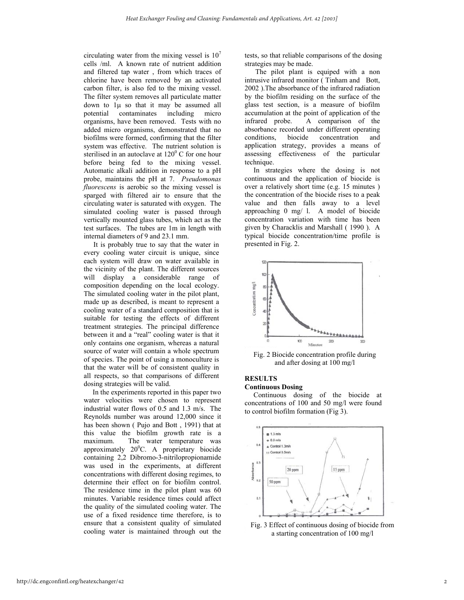circulating water from the mixing vessel is  $10<sup>7</sup>$ cells /ml. A known rate of nutrient addition and filtered tap water , from which traces of chlorine have been removed by an activated carbon filter, is also fed to the mixing vessel. The filter system removes all particulate matter down to 1µ so that it may be assumed all potential contaminates including micro organisms, have been removed. Tests with no added micro organisms, demonstrated that no biofilms were formed, confirming that the filter system was effective. The nutrient solution is sterilised in an autoclave at  $120^{\circ}$  C for one hour before being fed to the mixing vessel. Automatic alkali addition in response to a pH probe, maintains the pH at 7. *Pseudomonas fluorescens* is aerobic so the mixing vessel is sparged with filtered air to ensure that the circulating water is saturated with oxygen. The simulated cooling water is passed through vertically mounted glass tubes, which act as the test surfaces. The tubes are 1m in length with internal diameters of 9 and 23.1 mm.

 It is probably true to say that the water in every cooling water circuit is unique, since each system will draw on water available in the vicinity of the plant. The different sources will display a considerable range of composition depending on the local ecology. The simulated cooling water in the pilot plant, made up as described, is meant to represent a cooling water of a standard composition that is suitable for testing the effects of different treatment strategies. The principal difference between it and a "real" cooling water is that it only contains one organism, whereas a natural source of water will contain a whole spectrum of species. The point of using a monoculture is that the water will be of consistent quality in all respects, so that comparisons of different dosing strategies will be valid.

 In the experiments reported in this paper two water velocities were chosen to represent industrial water flows of 0.5 and 1.3 m/s. The Reynolds number was around 12,000 since it has been shown ( Pujo and Bott , 1991) that at this value the biofilm growth rate is a maximum. The water temperature was approximately  $20^{\circ}$ C. A proprietary biocide containing 2,2 Dibromo-3-nitrilopropionamide was used in the experiments, at different concentrations with different dosing regimes, to determine their effect on for biofilm control. The residence time in the pilot plant was 60 minutes. Variable residence times could affect the quality of the simulated cooling water. The use of a fixed residence time therefore, is to ensure that a consistent quality of simulated cooling water is maintained through out the

tests, so that reliable comparisons of the dosing strategies may be made.

 The pilot plant is equiped with a non intrusive infrared monitor ( Tinham and Bott, 2002 ).The absorbance of the infrared radiation by the biofilm residing on the surface of the glass test section, is a measure of biofilm accumulation at the point of application of the infrared probe. A comparison of the absorbance recorded under different operating conditions, biocide concentration and application strategy, provides a means of assessing effectiveness of the particular technique.

 In strategies where the dosing is not continuous and the application of biocide is over a relatively short time (e.g. 15 minutes ) the concentration of the biocide rises to a peak value and then falls away to a level approaching 0 mg/ l. A model of biocide concentration variation with time has been given by Characklis and Marshall ( 1990 ). A typical biocide concentration/time profile is presented in Fig. 2.



Fig. 2 Biocide concentration profile during and after dosing at 100 mg/l

# **RESULTS**

**Continuous Dosing** 

 Continuous dosing of the biocide at concentrations of 100 and 50 mg/l were found to control biofilm formation (Fig 3).



Fig. 3 Effect of continuous dosing of biocide from a starting concentration of 100 mg/l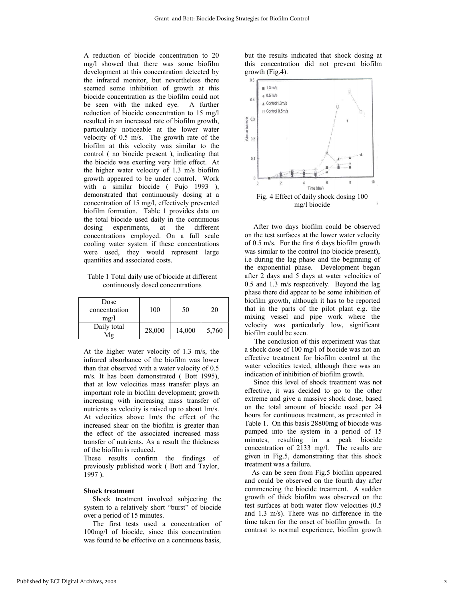A reduction of biocide concentration to 20 mg/l showed that there was some biofilm development at this concentration detected by the infrared monitor, but nevertheless there seemed some inhibition of growth at this biocide concentration as the biofilm could not be seen with the naked eye. A further reduction of biocide concentration to 15 mg/l resulted in an increased rate of biofilm growth, particularly noticeable at the lower water velocity of 0.5 m/s. The growth rate of the biofilm at this velocity was similar to the control ( no biocide present ), indicating that the biocide was exerting very little effect. At the higher water velocity of 1.3 m/s biofilm growth appeared to be under control. Work with a similar biocide ( Pujo 1993 ), demonstrated that continuously dosing at a concentration of 15 mg/l, effectively prevented biofilm formation. Table 1 provides data on the total biocide used daily in the continuous dosing experiments, at the different concentrations employed. On a full scale cooling water system if these concentrations were used, they would represent large quantities and associated costs.

Table 1 Total daily use of biocide at different continuously dosed concentrations

| Dose<br>concentration<br>mg/l | 100    | 50     | 20    |
|-------------------------------|--------|--------|-------|
| Daily total<br>Mg             | 28,000 | 14,000 | 5,760 |

At the higher water velocity of 1.3 m/s, the infrared absorbance of the biofilm was lower than that observed with a water velocity of 0.5 m/s. It has been demonstrated ( Bott 1995), that at low velocities mass transfer plays an important role in biofilm development; growth increasing with increasing mass transfer of nutrients as velocity is raised up to about 1m/s. At velocities above 1m/s the effect of the increased shear on the biofilm is greater than the effect of the associated increased mass transfer of nutrients. As a result the thickness of the biofilm is reduced.

These results confirm the findings of previously published work ( Bott and Taylor, 1997 ).

# **Shock treatment**

 Shock treatment involved subjecting the system to a relatively short "burst" of biocide over a period of 15 minutes.

 The first tests used a concentration of 100mg/l of biocide, since this concentration was found to be effective on a continuous basis,

but the results indicated that shock dosing at this concentration did not prevent biofilm growth (Fig.4).



 After two days biofilm could be observed on the test surfaces at the lower water velocity of 0.5 m/s. For the first 6 days biofilm growth was similar to the control (no biocide present), i.e during the lag phase and the beginning of the exponential phase. Development began after 2 days and 5 days at water velocities of 0.5 and 1.3 m/s respectively. Beyond the lag phase there did appear to be some inhibition of biofilm growth, although it has to be reported that in the parts of the pilot plant e.g. the mixing vessel and pipe work where the velocity was particularly low, significant biofilm could be seen.

 The conclusion of this experiment was that a shock dose of 100 mg/l of biocide was not an effective treatment for biofilm control at the water velocities tested, although there was an indication of inhibition of biofilm growth.

 Since this level of shock treatment was not effective, it was decided to go to the other extreme and give a massive shock dose, based on the total amount of biocide used per 24 hours for continuous treatment, as presented in Table 1. On this basis 28800mg of biocide was pumped into the system in a period of 15 minutes, resulting in a peak biocide concentration of 2133 mg/l. The results are given in Fig.5, demonstrating that this shock treatment was a failure.

 As can be seen from Fig.5 biofilm appeared and could be observed on the fourth day after commencing the biocide treatment. A sudden growth of thick biofilm was observed on the test surfaces at both water flow velocities (0.5 and 1.3 m/s). There was no difference in the time taken for the onset of biofilm growth. In contrast to normal experience, biofilm growth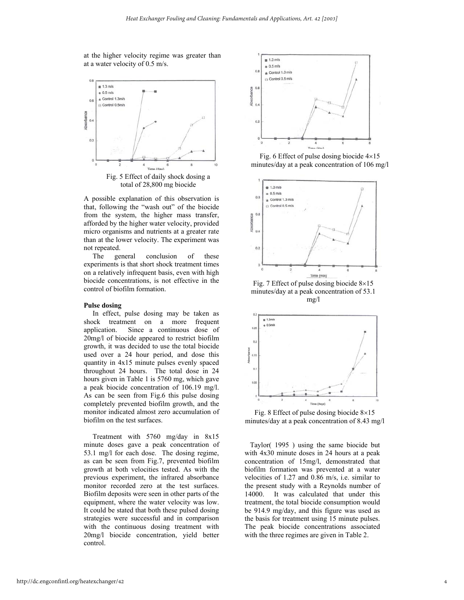at the higher velocity regime was greater than at a water velocity of 0.5 m/s.



total of 28,800 mg biocide

A possible explanation of this observation is that, following the "wash out" of the biocide from the system, the higher mass transfer, afforded by the higher water velocity, provided micro organisms and nutrients at a greater rate than at the lower velocity. The experiment was not repeated.

 The general conclusion of these experiments is that short shock treatment times on a relatively infrequent basis, even with high biocide concentrations, is not effective in the control of biofilm formation.

### **Pulse dosing**

 In effect, pulse dosing may be taken as shock treatment on a more frequent application. Since a continuous dose of 20mg/l of biocide appeared to restrict biofilm growth, it was decided to use the total biocide used over a 24 hour period, and dose this quantity in 4x15 minute pulses evenly spaced throughout 24 hours. The total dose in 24 hours given in Table 1 is 5760 mg, which gave a peak biocide concentration of 106.19 mg/l. As can be seen from Fig.6 this pulse dosing completely prevented biofilm growth, and the monitor indicated almost zero accumulation of biofilm on the test surfaces.

 Treatment with 5760 mg/day in 8x15 minute doses gave a peak concentration of 53.1 mg/l for each dose. The dosing regime, as can be seen from Fig.7, prevented biofilm growth at both velocities tested. As with the previous experiment, the infrared absorbance monitor recorded zero at the test surfaces. Biofilm deposits were seen in other parts of the equipment, where the water velocity was low. It could be stated that both these pulsed dosing strategies were successful and in comparison with the continuous dosing treatment with 20mg/l biocide concentration, yield better control.



Fig. 6 Effect of pulse dosing biocide 4×15 minutes/day at a peak concentration of 106 mg/l



Fig. 7 Effect of pulse dosing biocide 8×15 minutes/day at a peak concentration of 53.1 mg/l



Fig. 8 Effect of pulse dosing biocide 8×15 minutes/day at a peak concentration of 8.43 mg/l

 Taylor( 1995 ) using the same biocide but with 4x30 minute doses in 24 hours at a peak concentration of 15mg/l, demonstrated that biofilm formation was prevented at a water velocities of 1.27 and 0.86 m/s, i.e. similar to the present study with a Reynolds number of 14000. It was calculated that under this treatment, the total biocide consumption would be 914.9 mg/day, and this figure was used as the basis for treatment using 15 minute pulses. The peak biocide concentrations associated with the three regimes are given in Table 2.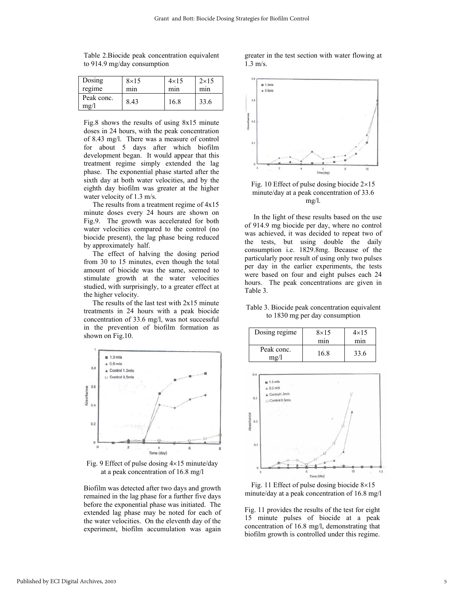| Dosing                  | $8\times15$ | $4\times15$      | $2\times15$ |
|-------------------------|-------------|------------------|-------------|
| regime                  | mın         | m <sub>1</sub> n | mnn         |
| Peak conc.<br>$m\Omega$ | 8.43        | 16.8             | 33.6        |

Table 2.Biocide peak concentration equivalent to 914.9 mg/day consumption

Fig.8 shows the results of using 8x15 minute doses in 24 hours, with the peak concentration of 8.43 mg/l. There was a measure of control for about 5 days after which biofilm development began. It would appear that this treatment regime simply extended the lag phase. The exponential phase started after the sixth day at both water velocities, and by the eighth day biofilm was greater at the higher water velocity of 1.3 m/s.

 The results from a treatment regime of 4x15 minute doses every 24 hours are shown on Fig.9. The growth was accelerated for both water velocities compared to the control (no biocide present), the lag phase being reduced by approximately half.

 The effect of halving the dosing period from 30 to 15 minutes, even though the total amount of biocide was the same, seemed to stimulate growth at the water velocities studied, with surprisingly, to a greater effect at the higher velocity.

 The results of the last test with 2x15 minute treatments in 24 hours with a peak biocide concentration of 33.6 mg/l, was not successful in the prevention of biofilm formation as shown on Fig.10.



Fig. 9 Effect of pulse dosing  $4\times15$  minute/day at a peak concentration of 16.8 mg/l

Biofilm was detected after two days and growth remained in the lag phase for a further five days before the exponential phase was initiated. The extended lag phase may be noted for each of the water velocities. On the eleventh day of the experiment, biofilm accumulation was again

greater in the test section with water flowing at 1.3 m/s.



Fig. 10 Effect of pulse dosing biocide  $2\times15$ minute/day at a peak concentration of 33.6 mg/l.

 In the light of these results based on the use of 914.9 mg biocide per day, where no control was achieved, it was decided to repeat two of the tests, but using double the daily consumption i.e. 1829.8mg. Because of the particularly poor result of using only two pulses per day in the earlier experiments, the tests were based on four and eight pulses each 24 hours. The peak concentrations are given in Table 3.

# Table 3. Biocide peak concentration equivalent to 1830 mg per day consumption

| Dosing regime                  | $8\times15$<br>mın | $4\times15$<br>mın |
|--------------------------------|--------------------|--------------------|
| Peak conc.<br>$m\mathfrak{g}/$ | 16.8               | 33.6               |



Fig. 11 Effect of pulse dosing biocide 8×15 minute/day at a peak concentration of 16.8 mg/l

Fig. 11 provides the results of the test for eight 15 minute pulses of biocide at a peak concentration of 16.8 mg/l, demonstrating that biofilm growth is controlled under this regime.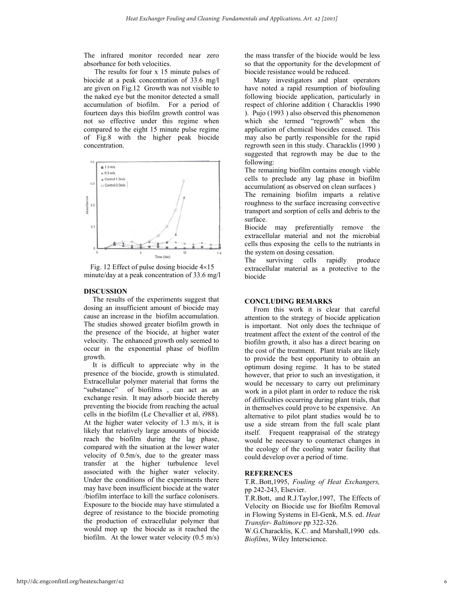The infrared monitor recorded near zero absorbance for both velocities.

 The results for four x 15 minute pulses of biocide at a peak concentration of 33.6 mg/l are given on Fig.12 Growth was not visible to the naked eye but the monitor detected a small accumulation of biofilm. For a period of fourteen days this biofilm growth control was not so effective under this regime when compared to the eight 15 minute pulse regime of Fig.8 with the higher peak biocide concentration.



Fig. 12 Effect of pulse dosing biocide 4×15 minute/day at a peak concentration of 33.6 mg/l

## **DISCUSSION**

 The results of the experiments suggest that dosing an insufficient amount of biocide may cause an increase in the biofilm accumulation. The studies showed greater biofilm growth in the presence of the biocide, at higher water velocity. The enhanced growth only seemed to occur in the exponential phase of biofilm growth.

 It is difficult to appreciate why in the presence of the biocide, growth is stimulated. Extracellular polymer material that forms the "substance" of biofilms , can act as an exchange resin. It may adsorb biocide thereby preventing the biocide from reaching the actual cells in the biofilm (Le Chevallier et al, i988). At the higher water velocity of 1.3 m/s, it is likely that relatively large amounts of biocide reach the biofilm during the lag phase, compared with the situation at the lower water velocity of 0.5m/s, due to the greater mass transfer at the higher turbulence level associated with the higher water velocity. Under the conditions of the experiments there may have been insufficient biocide at the water /biofilm interface to kill the surface colonisers. Exposure to the biocide may have stimulated a degree of resistance to the biocide promoting the production of extracellular polymer that would mop up the biocide as it reached the biofilm. At the lower water velocity (0.5 m/s) the mass transfer of the biocide would be less so that the opportunity for the development of biocide resistance would be reduced.

 Many investigators and plant operators have noted a rapid resumption of biofouling following biocide application, particularly in respect of chlorine addition ( Characklis 1990 ). Pujo (1993 ) also observed this phenomenon which she termed "regrowth" when the application of chemical biocides ceased. This may also be partly responsible for the rapid regrowth seen in this study. Characklis (1990 ) suggested that regrowth may be due to the following:

The remaining biofilm contains enough viable cells to preclude any lag phase in biofilm accumulation( as observed on clean surfaces )

The remaining biofilm imparts a relative roughness to the surface increasing convective transport and sorption of cells and debris to the surface.

Biocide may preferentially remove the extracellular material and not the microbial cells thus exposing the cells to the nutriants in the system on dosing cessation.

The surviving cells rapidly produce extracellular material as a protective to the biocide

#### **CONCLUDING REMARKS**

 From this work it is clear that careful attention to the strategy of biocide application is important. Not only does the technique of treatment affect the extent of the control of the biofilm growth, it also has a direct bearing on the cost of the treatment. Plant trials are likely to provide the best opportunity to obtain an optimum dosing regime. It has to be stated however, that prior to such an investigation, it would be necessary to carry out preliminary work in a pilot plant in order to reduce the risk of difficulties occurring during plant trials, that in themselves could prove to be expensive. An alternative to pilot plant studies would be to use a side stream from the full scale plant itself. Frequent reappraisal of the strategy would be necessary to counteract changes in the ecology of the cooling water facility that could develop over a period of time.

## **REFERENCES**

T.R..Bott,1995, *Fouling of Heat Exchangers,* pp 242-243, Elsevier.

T.R.Bott, and R.J.Taylor,1997, The Effects of Velocity on Biocide use for Biofilm Removal in Flowing Systems in El-Genk, M.S. ed. *Heat Transfer- Baltimore* pp 322-326.

W.G.Characklis, K.C. and Marshall,1990 eds. *Biofilms*, Wiley Interscience.